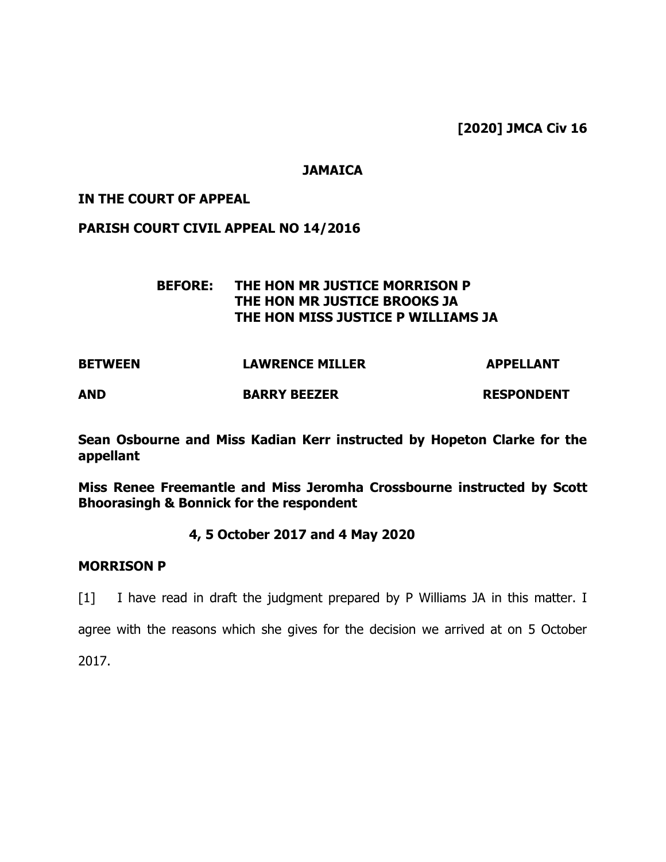**[2020] JMCA Civ 16**

## **JAMAICA**

### **IN THE COURT OF APPEAL**

### **PARISH COURT CIVIL APPEAL NO 14/2016**

## **BEFORE: THE HON MR JUSTICE MORRISON P THE HON MR JUSTICE BROOKS JA THE HON MISS JUSTICE P WILLIAMS JA**

| <b>BETWEEN</b> | <b>LAWRENCE MILLER</b> | <b>APPELLANT</b>  |
|----------------|------------------------|-------------------|
| <b>AND</b>     | <b>BARRY BEEZER</b>    | <b>RESPONDENT</b> |

**Sean Osbourne and Miss Kadian Kerr instructed by Hopeton Clarke for the appellant**

**Miss Renee Freemantle and Miss Jeromha Crossbourne instructed by Scott Bhoorasingh & Bonnick for the respondent** 

### **4, 5 October 2017 and 4 May 2020**

### **MORRISON P**

[1] I have read in draft the judgment prepared by P Williams JA in this matter. I

agree with the reasons which she gives for the decision we arrived at on 5 October

2017.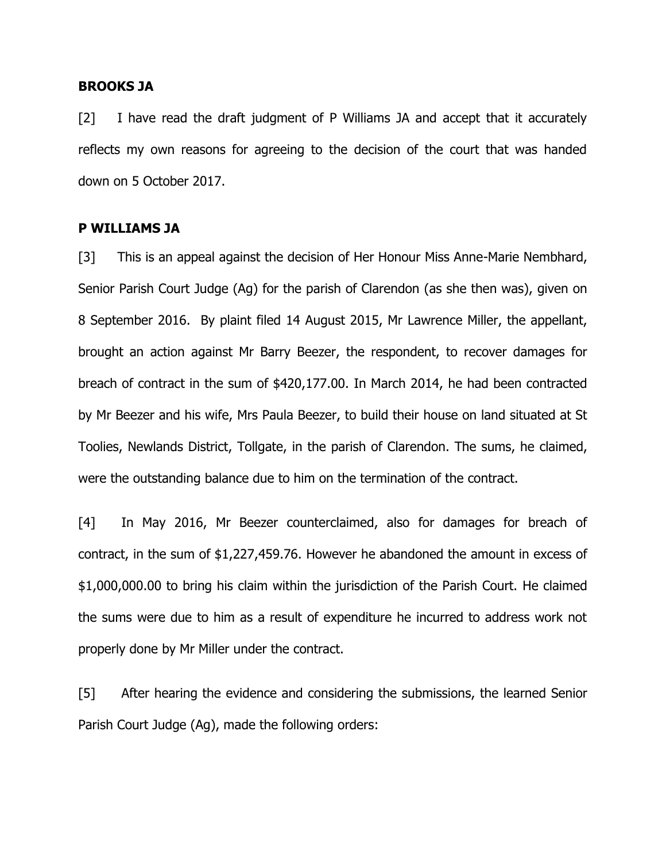#### **BROOKS JA**

[2] I have read the draft judgment of P Williams JA and accept that it accurately reflects my own reasons for agreeing to the decision of the court that was handed down on 5 October 2017.

### **P WILLIAMS JA**

[3] This is an appeal against the decision of Her Honour Miss Anne-Marie Nembhard, Senior Parish Court Judge (Ag) for the parish of Clarendon (as she then was), given on 8 September 2016. By plaint filed 14 August 2015, Mr Lawrence Miller, the appellant, brought an action against Mr Barry Beezer, the respondent, to recover damages for breach of contract in the sum of \$420,177.00. In March 2014, he had been contracted by Mr Beezer and his wife, Mrs Paula Beezer, to build their house on land situated at St Toolies, Newlands District, Tollgate, in the parish of Clarendon. The sums, he claimed, were the outstanding balance due to him on the termination of the contract.

[4] In May 2016, Mr Beezer counterclaimed, also for damages for breach of contract, in the sum of \$1,227,459.76. However he abandoned the amount in excess of \$1,000,000.00 to bring his claim within the jurisdiction of the Parish Court. He claimed the sums were due to him as a result of expenditure he incurred to address work not properly done by Mr Miller under the contract.

[5] After hearing the evidence and considering the submissions, the learned Senior Parish Court Judge (Ag), made the following orders: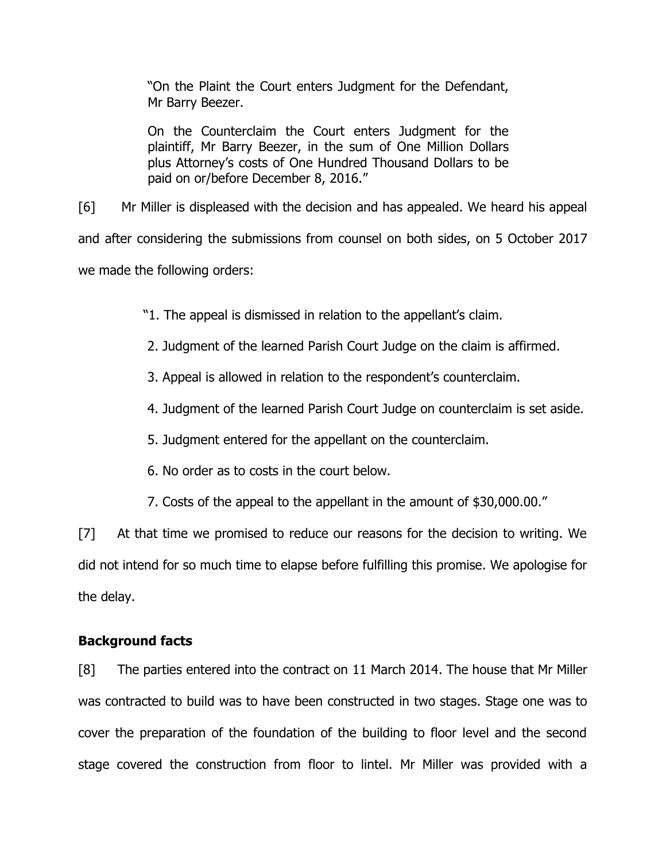"On the Plaint the Court enters Judgment for the Defendant, Mr Barry Beezer.

On the Counterclaim the Court enters Judgment for the plaintiff, Mr Barry Beezer, in the sum of One Million Dollars plus Attorney's costs of One Hundred Thousand Dollars to be paid on or/before December 8, 2016."

[6] Mr Miller is displeased with the decision and has appealed. We heard his appeal and after considering the submissions from counsel on both sides, on 5 October 2017 we made the following orders:

"1. The appeal is dismissed in relation to the appellant's claim.

2. Judgment of the learned Parish Court Judge on the claim is affirmed.

3. Appeal is allowed in relation to the respondent's counterclaim.

4. Judgment of the learned Parish Court Judge on counterclaim is set aside.

5. Judgment entered for the appellant on the counterclaim.

6. No order as to costs in the court below.

7. Costs of the appeal to the appellant in the amount of \$30,000.00."

[7] At that time we promised to reduce our reasons for the decision to writing. We did not intend for so much time to elapse before fulfilling this promise. We apologise for the delay.

# **Background facts**

[8] The parties entered into the contract on 11 March 2014. The house that Mr Miller was contracted to build was to have been constructed in two stages. Stage one was to cover the preparation of the foundation of the building to floor level and the second stage covered the construction from floor to lintel. Mr Miller was provided with a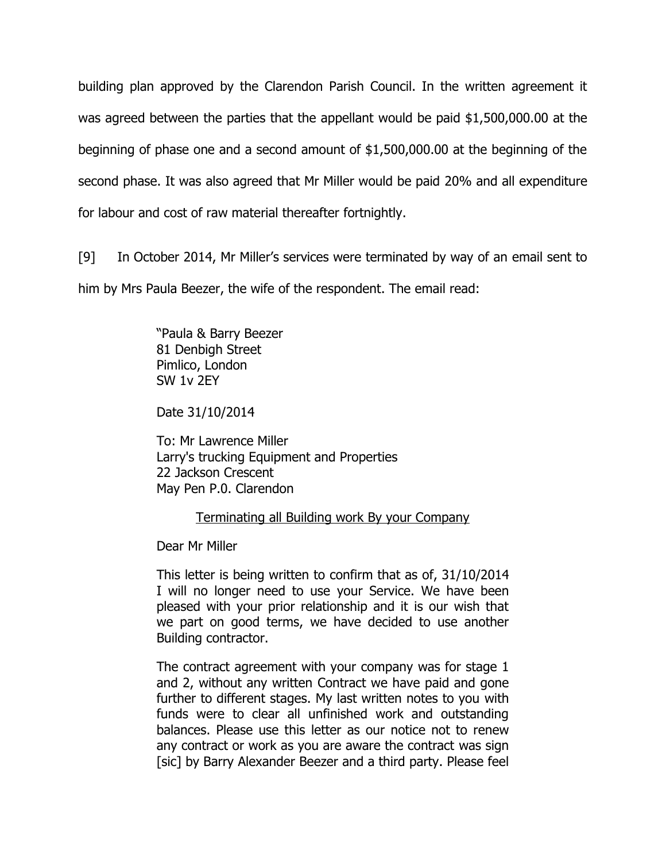building plan approved by the Clarendon Parish Council. In the written agreement it was agreed between the parties that the appellant would be paid \$1,500,000.00 at the beginning of phase one and a second amount of \$1,500,000.00 at the beginning of the second phase. It was also agreed that Mr Miller would be paid 20% and all expenditure for labour and cost of raw material thereafter fortnightly.

[9] In October 2014, Mr Miller's services were terminated by way of an email sent to him by Mrs Paula Beezer, the wife of the respondent. The email read:

> "Paula & Barry Beezer 81 Denbigh Street Pimlico, London SW 1v 2EY

Date 31/10/2014

To: Mr Lawrence Miller Larry's trucking Equipment and Properties 22 Jackson Crescent May Pen P.0. Clarendon

### Terminating all Building work By your Company

Dear Mr Miller

This letter is being written to confirm that as of, 31/10/2014 I will no longer need to use your Service. We have been pleased with your prior relationship and it is our wish that we part on good terms, we have decided to use another Building contractor.

The contract agreement with your company was for stage 1 and 2, without any written Contract we have paid and gone further to different stages. My last written notes to you with funds were to clear all unfinished work and outstanding balances. Please use this letter as our notice not to renew any contract or work as you are aware the contract was sign [sic] by Barry Alexander Beezer and a third party. Please feel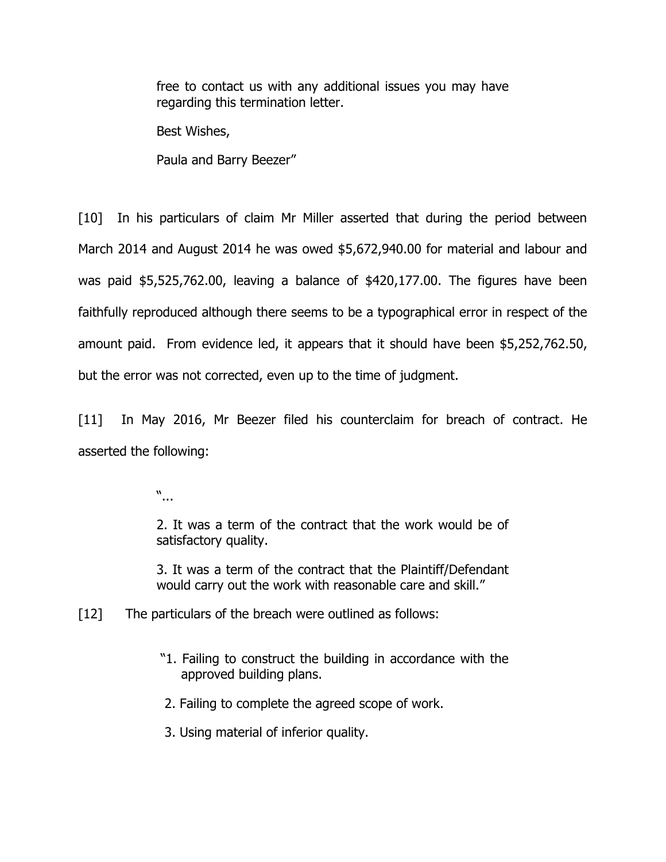free to contact us with any additional issues you may have regarding this termination letter.

Best Wishes,

Paula and Barry Beezer"

[10] In his particulars of claim Mr Miller asserted that during the period between March 2014 and August 2014 he was owed \$5,672,940.00 for material and labour and was paid \$5,525,762.00, leaving a balance of \$420,177.00. The figures have been faithfully reproduced although there seems to be a typographical error in respect of the amount paid. From evidence led, it appears that it should have been \$5,252,762.50, but the error was not corrected, even up to the time of judgment.

[11] In May 2016, Mr Beezer filed his counterclaim for breach of contract. He asserted the following:

"...

2. It was a term of the contract that the work would be of satisfactory quality.

3. It was a term of the contract that the Plaintiff/Defendant would carry out the work with reasonable care and skill."

[12] The particulars of the breach were outlined as follows:

"1. Failing to construct the building in accordance with the approved building plans.

2. Failing to complete the agreed scope of work.

3. Using material of inferior quality.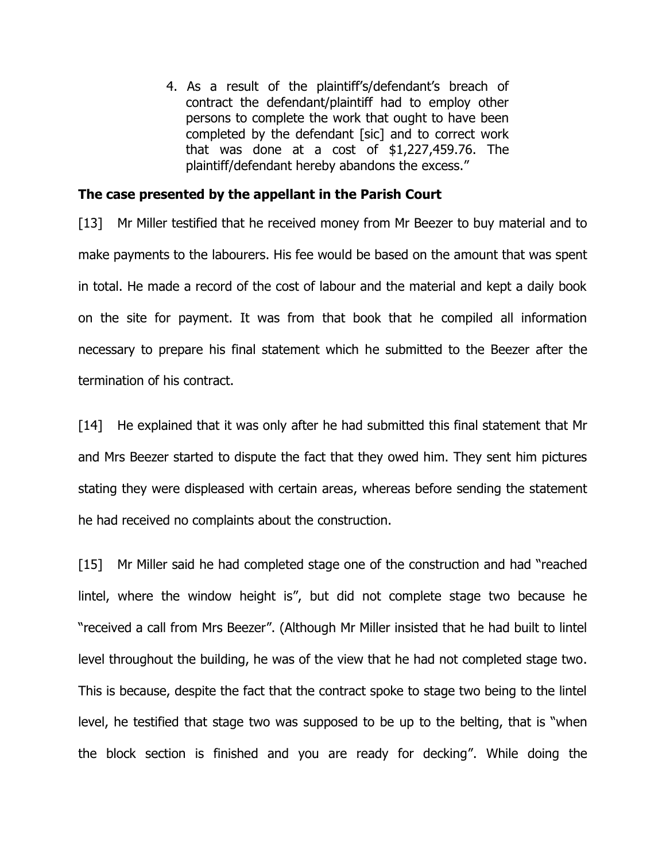4. As a result of the plaintiff's/defendant's breach of contract the defendant/plaintiff had to employ other persons to complete the work that ought to have been completed by the defendant [sic] and to correct work that was done at a cost of \$1,227,459.76. The plaintiff/defendant hereby abandons the excess."

### **The case presented by the appellant in the Parish Court**

[13] Mr Miller testified that he received money from Mr Beezer to buy material and to make payments to the labourers. His fee would be based on the amount that was spent in total. He made a record of the cost of labour and the material and kept a daily book on the site for payment. It was from that book that he compiled all information necessary to prepare his final statement which he submitted to the Beezer after the termination of his contract.

[14] He explained that it was only after he had submitted this final statement that Mr and Mrs Beezer started to dispute the fact that they owed him. They sent him pictures stating they were displeased with certain areas, whereas before sending the statement he had received no complaints about the construction.

[15] Mr Miller said he had completed stage one of the construction and had "reached lintel, where the window height is", but did not complete stage two because he "received a call from Mrs Beezer". (Although Mr Miller insisted that he had built to lintel level throughout the building, he was of the view that he had not completed stage two. This is because, despite the fact that the contract spoke to stage two being to the lintel level, he testified that stage two was supposed to be up to the belting, that is "when the block section is finished and you are ready for decking". While doing the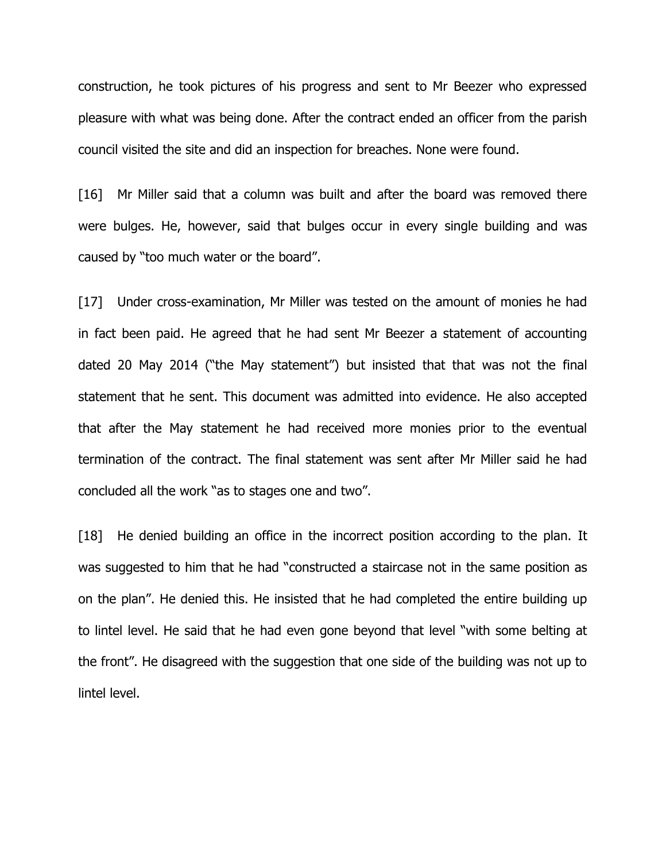construction, he took pictures of his progress and sent to Mr Beezer who expressed pleasure with what was being done. After the contract ended an officer from the parish council visited the site and did an inspection for breaches. None were found.

[16] Mr Miller said that a column was built and after the board was removed there were bulges. He, however, said that bulges occur in every single building and was caused by "too much water or the board".

[17] Under cross-examination, Mr Miller was tested on the amount of monies he had in fact been paid. He agreed that he had sent Mr Beezer a statement of accounting dated 20 May 2014 ("the May statement") but insisted that that was not the final statement that he sent. This document was admitted into evidence. He also accepted that after the May statement he had received more monies prior to the eventual termination of the contract. The final statement was sent after Mr Miller said he had concluded all the work "as to stages one and two".

[18] He denied building an office in the incorrect position according to the plan. It was suggested to him that he had "constructed a staircase not in the same position as on the plan". He denied this. He insisted that he had completed the entire building up to lintel level. He said that he had even gone beyond that level "with some belting at the front". He disagreed with the suggestion that one side of the building was not up to lintel level.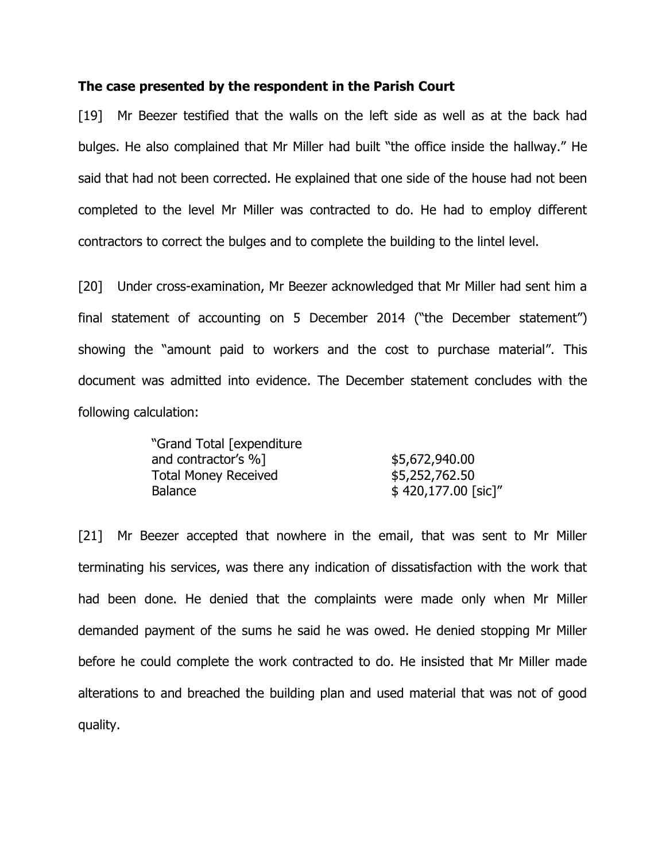#### **The case presented by the respondent in the Parish Court**

[19] Mr Beezer testified that the walls on the left side as well as at the back had bulges. He also complained that Mr Miller had built "the office inside the hallway." He said that had not been corrected. He explained that one side of the house had not been completed to the level Mr Miller was contracted to do. He had to employ different contractors to correct the bulges and to complete the building to the lintel level.

[20] Under cross-examination, Mr Beezer acknowledged that Mr Miller had sent him a final statement of accounting on 5 December 2014 ("the December statement") showing the "amount paid to workers and the cost to purchase material". This document was admitted into evidence. The December statement concludes with the following calculation:

| "Grand Total [expenditure   |                     |
|-----------------------------|---------------------|
| and contractor's %]         | \$5,672,940.00      |
| <b>Total Money Received</b> | \$5,252,762.50      |
| <b>Balance</b>              | \$420,177.00 [sic]" |

[21] Mr Beezer accepted that nowhere in the email, that was sent to Mr Miller terminating his services, was there any indication of dissatisfaction with the work that had been done. He denied that the complaints were made only when Mr Miller demanded payment of the sums he said he was owed. He denied stopping Mr Miller before he could complete the work contracted to do. He insisted that Mr Miller made alterations to and breached the building plan and used material that was not of good quality.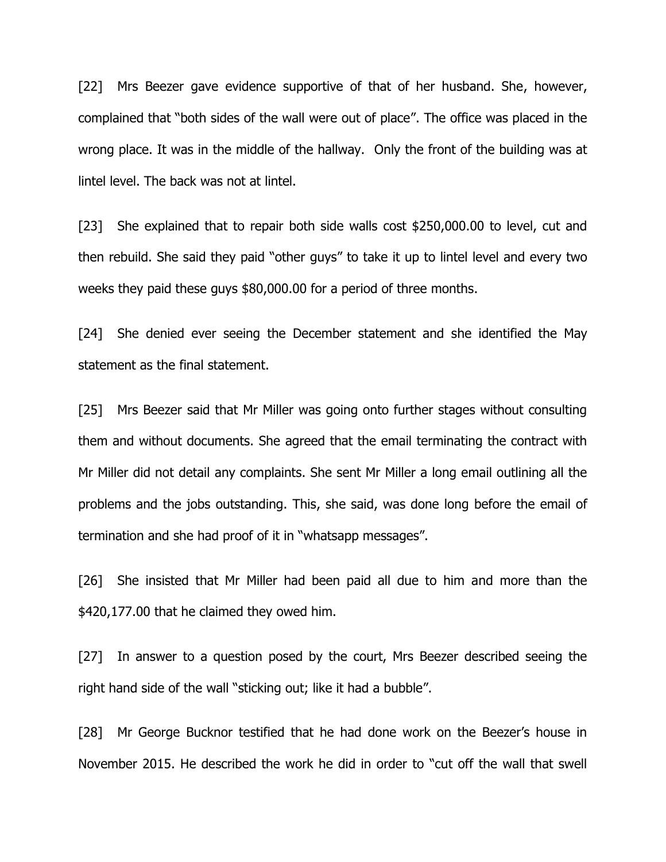[22] Mrs Beezer gave evidence supportive of that of her husband. She, however, complained that "both sides of the wall were out of place". The office was placed in the wrong place. It was in the middle of the hallway. Only the front of the building was at lintel level. The back was not at lintel.

[23] She explained that to repair both side walls cost \$250,000.00 to level, cut and then rebuild. She said they paid "other guys" to take it up to lintel level and every two weeks they paid these guys \$80,000.00 for a period of three months.

[24] She denied ever seeing the December statement and she identified the May statement as the final statement.

[25] Mrs Beezer said that Mr Miller was going onto further stages without consulting them and without documents. She agreed that the email terminating the contract with Mr Miller did not detail any complaints. She sent Mr Miller a long email outlining all the problems and the jobs outstanding. This, she said, was done long before the email of termination and she had proof of it in "whatsapp messages".

[26] She insisted that Mr Miller had been paid all due to him and more than the \$420,177.00 that he claimed they owed him.

[27] In answer to a question posed by the court, Mrs Beezer described seeing the right hand side of the wall "sticking out; like it had a bubble".

[28] Mr George Bucknor testified that he had done work on the Beezer's house in November 2015. He described the work he did in order to "cut off the wall that swell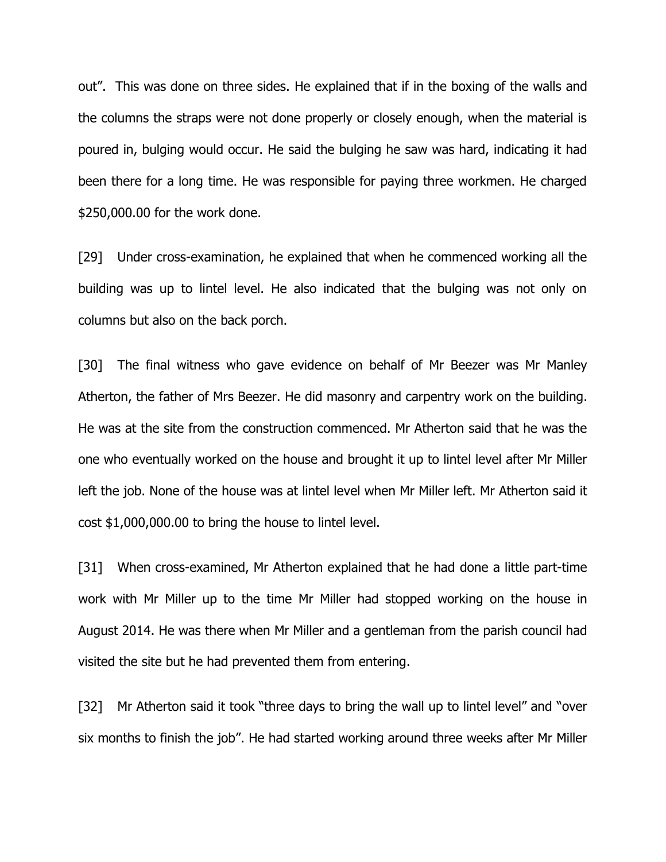out". This was done on three sides. He explained that if in the boxing of the walls and the columns the straps were not done properly or closely enough, when the material is poured in, bulging would occur. He said the bulging he saw was hard, indicating it had been there for a long time. He was responsible for paying three workmen. He charged \$250,000.00 for the work done.

[29] Under cross-examination, he explained that when he commenced working all the building was up to lintel level. He also indicated that the bulging was not only on columns but also on the back porch.

[30] The final witness who gave evidence on behalf of Mr Beezer was Mr Manley Atherton, the father of Mrs Beezer. He did masonry and carpentry work on the building. He was at the site from the construction commenced. Mr Atherton said that he was the one who eventually worked on the house and brought it up to lintel level after Mr Miller left the job. None of the house was at lintel level when Mr Miller left. Mr Atherton said it cost \$1,000,000.00 to bring the house to lintel level.

[31] When cross-examined, Mr Atherton explained that he had done a little part-time work with Mr Miller up to the time Mr Miller had stopped working on the house in August 2014. He was there when Mr Miller and a gentleman from the parish council had visited the site but he had prevented them from entering.

[32] Mr Atherton said it took "three days to bring the wall up to lintel level" and "over six months to finish the job". He had started working around three weeks after Mr Miller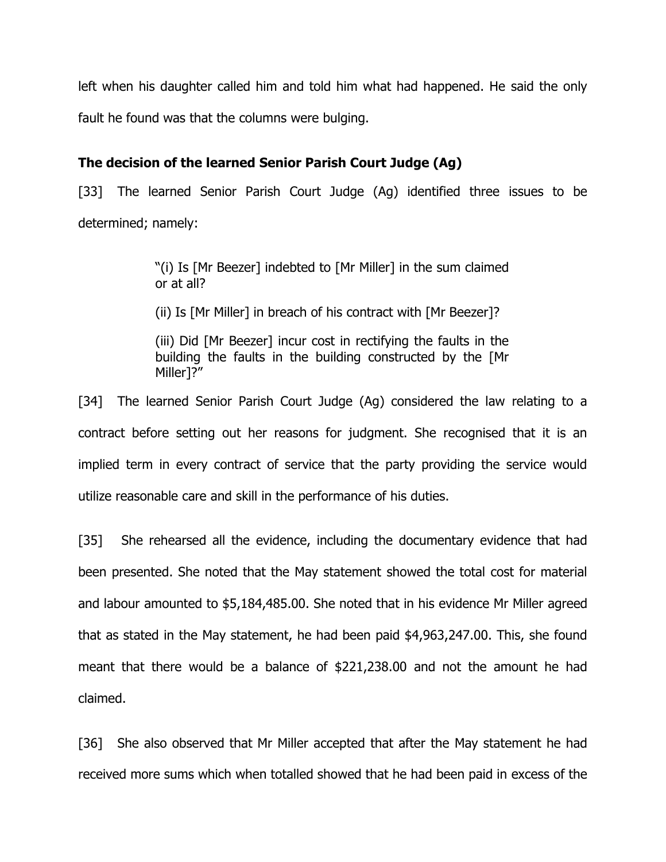left when his daughter called him and told him what had happened. He said the only fault he found was that the columns were bulging.

## **The decision of the learned Senior Parish Court Judge (Ag)**

[33] The learned Senior Parish Court Judge (Ag) identified three issues to be determined; namely:

> "(i) Is [Mr Beezer] indebted to [Mr Miller] in the sum claimed or at all?

(ii) Is [Mr Miller] in breach of his contract with [Mr Beezer]?

(iii) Did [Mr Beezer] incur cost in rectifying the faults in the building the faults in the building constructed by the [Mr Miller]?"

[34] The learned Senior Parish Court Judge (Ag) considered the law relating to a contract before setting out her reasons for judgment. She recognised that it is an implied term in every contract of service that the party providing the service would utilize reasonable care and skill in the performance of his duties.

[35] She rehearsed all the evidence, including the documentary evidence that had been presented. She noted that the May statement showed the total cost for material and labour amounted to \$5,184,485.00. She noted that in his evidence Mr Miller agreed that as stated in the May statement, he had been paid \$4,963,247.00. This, she found meant that there would be a balance of \$221,238.00 and not the amount he had claimed.

[36] She also observed that Mr Miller accepted that after the May statement he had received more sums which when totalled showed that he had been paid in excess of the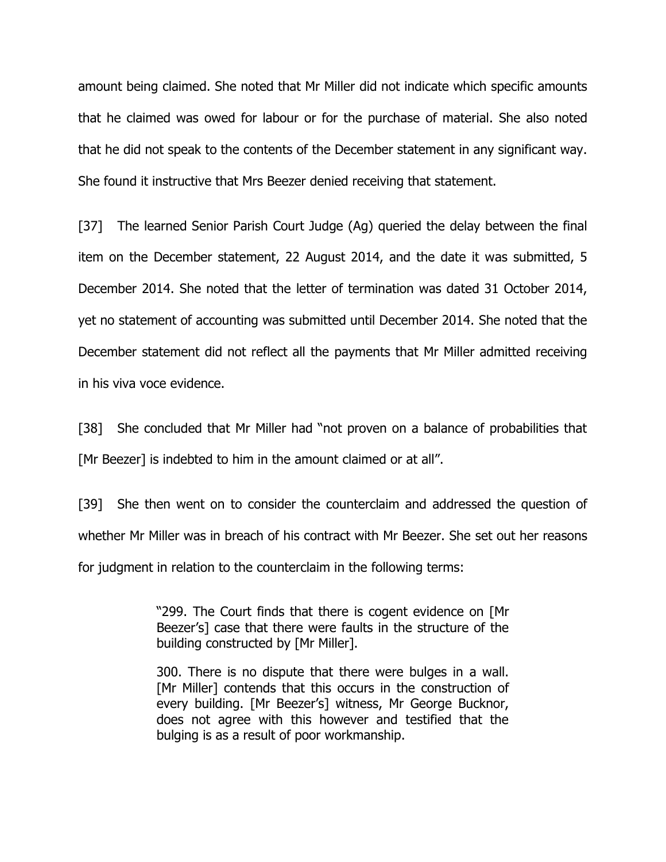amount being claimed. She noted that Mr Miller did not indicate which specific amounts that he claimed was owed for labour or for the purchase of material. She also noted that he did not speak to the contents of the December statement in any significant way. She found it instructive that Mrs Beezer denied receiving that statement.

[37] The learned Senior Parish Court Judge (Ag) queried the delay between the final item on the December statement, 22 August 2014, and the date it was submitted, 5 December 2014. She noted that the letter of termination was dated 31 October 2014, yet no statement of accounting was submitted until December 2014. She noted that the December statement did not reflect all the payments that Mr Miller admitted receiving in his viva voce evidence.

[38] She concluded that Mr Miller had "not proven on a balance of probabilities that [Mr Beezer] is indebted to him in the amount claimed or at all".

[39] She then went on to consider the counterclaim and addressed the question of whether Mr Miller was in breach of his contract with Mr Beezer. She set out her reasons for judgment in relation to the counterclaim in the following terms:

> "299. The Court finds that there is cogent evidence on [Mr Beezer's] case that there were faults in the structure of the building constructed by [Mr Miller].

> 300. There is no dispute that there were bulges in a wall. [Mr Miller] contends that this occurs in the construction of every building. [Mr Beezer's] witness, Mr George Bucknor, does not agree with this however and testified that the bulging is as a result of poor workmanship.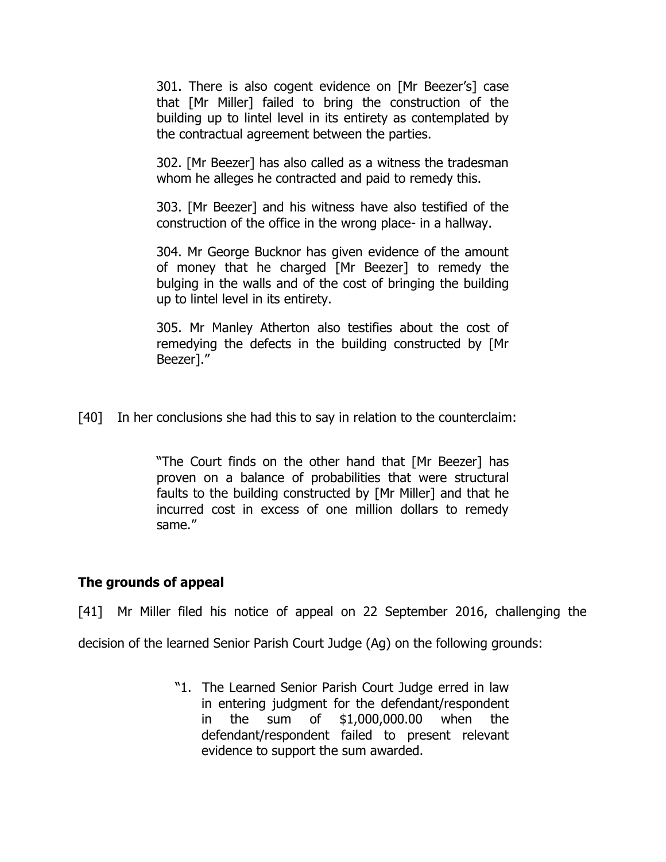301. There is also cogent evidence on [Mr Beezer's] case that [Mr Miller] failed to bring the construction of the building up to lintel level in its entirety as contemplated by the contractual agreement between the parties.

302. [Mr Beezer] has also called as a witness the tradesman whom he alleges he contracted and paid to remedy this.

303. [Mr Beezer] and his witness have also testified of the construction of the office in the wrong place- in a hallway.

304. Mr George Bucknor has given evidence of the amount of money that he charged [Mr Beezer] to remedy the bulging in the walls and of the cost of bringing the building up to lintel level in its entirety.

305. Mr Manley Atherton also testifies about the cost of remedying the defects in the building constructed by [Mr Beezer]."

[40] In her conclusions she had this to say in relation to the counterclaim:

"The Court finds on the other hand that [Mr Beezer] has proven on a balance of probabilities that were structural faults to the building constructed by [Mr Miller] and that he incurred cost in excess of one million dollars to remedy same."

## **The grounds of appeal**

[41] Mr Miller filed his notice of appeal on 22 September 2016, challenging the

decision of the learned Senior Parish Court Judge (Ag) on the following grounds:

 "1. The Learned Senior Parish Court Judge erred in law in entering judgment for the defendant/respondent in the sum of \$1,000,000.00 when the defendant/respondent failed to present relevant evidence to support the sum awarded.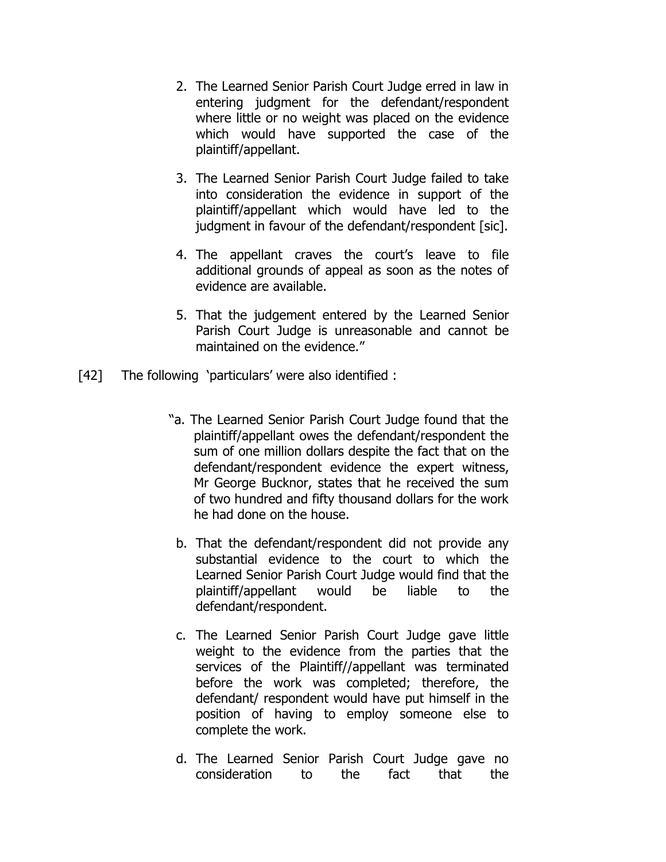- 2. The Learned Senior Parish Court Judge erred in law in entering judgment for the defendant/respondent where little or no weight was placed on the evidence which would have supported the case of the plaintiff/appellant.
- 3. The Learned Senior Parish Court Judge failed to take into consideration the evidence in support of the plaintiff/appellant which would have led to the judgment in favour of the defendant/respondent [sic].
- 4. The appellant craves the court's leave to file additional grounds of appeal as soon as the notes of evidence are available.
- 5. That the judgement entered by the Learned Senior Parish Court Judge is unreasonable and cannot be maintained on the evidence."
- [42] The following 'particulars' were also identified :
	- "a. The Learned Senior Parish Court Judge found that the plaintiff/appellant owes the defendant/respondent the sum of one million dollars despite the fact that on the defendant/respondent evidence the expert witness, Mr George Bucknor, states that he received the sum of two hundred and fifty thousand dollars for the work he had done on the house.
	- b. That the defendant/respondent did not provide any substantial evidence to the court to which the Learned Senior Parish Court Judge would find that the plaintiff/appellant would be liable to the defendant/respondent.
	- c. The Learned Senior Parish Court Judge gave little weight to the evidence from the parties that the services of the Plaintiff//appellant was terminated before the work was completed; therefore, the defendant/ respondent would have put himself in the position of having to employ someone else to complete the work.
	- d. The Learned Senior Parish Court Judge gave no consideration to the fact that the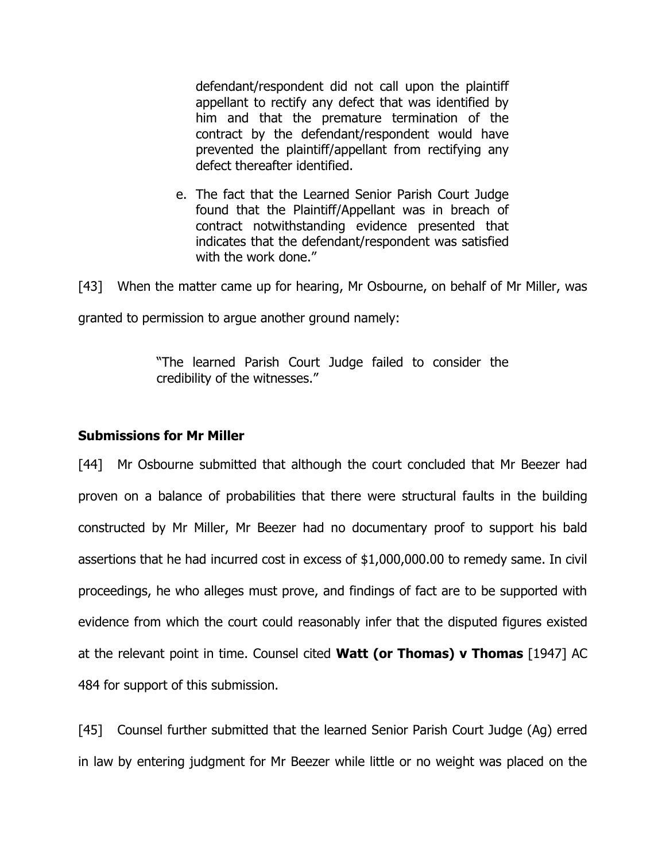defendant/respondent did not call upon the plaintiff appellant to rectify any defect that was identified by him and that the premature termination of the contract by the defendant/respondent would have prevented the plaintiff/appellant from rectifying any defect thereafter identified.

e. The fact that the Learned Senior Parish Court Judge found that the Plaintiff/Appellant was in breach of contract notwithstanding evidence presented that indicates that the defendant/respondent was satisfied with the work done."

[43] When the matter came up for hearing, Mr Osbourne, on behalf of Mr Miller, was

granted to permission to argue another ground namely:

"The learned Parish Court Judge failed to consider the credibility of the witnesses."

## **Submissions for Mr Miller**

[44] Mr Osbourne submitted that although the court concluded that Mr Beezer had proven on a balance of probabilities that there were structural faults in the building constructed by Mr Miller, Mr Beezer had no documentary proof to support his bald assertions that he had incurred cost in excess of \$1,000,000.00 to remedy same. In civil proceedings, he who alleges must prove, and findings of fact are to be supported with evidence from which the court could reasonably infer that the disputed figures existed at the relevant point in time. Counsel cited **Watt (or Thomas) v Thomas** [1947] AC 484 for support of this submission.

[45] Counsel further submitted that the learned Senior Parish Court Judge (Ag) erred in law by entering judgment for Mr Beezer while little or no weight was placed on the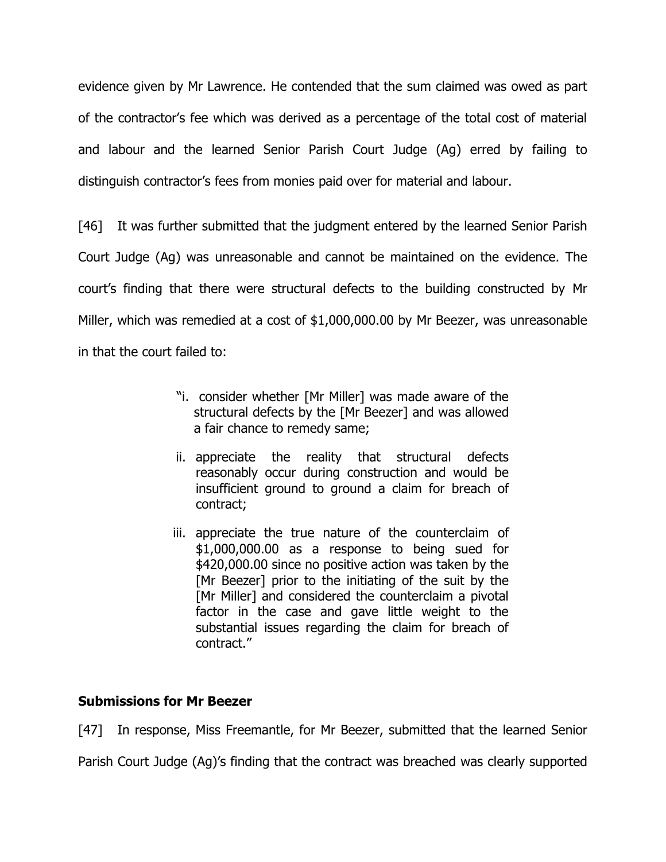evidence given by Mr Lawrence. He contended that the sum claimed was owed as part of the contractor's fee which was derived as a percentage of the total cost of material and labour and the learned Senior Parish Court Judge (Ag) erred by failing to distinguish contractor's fees from monies paid over for material and labour.

[46] It was further submitted that the judgment entered by the learned Senior Parish Court Judge (Ag) was unreasonable and cannot be maintained on the evidence. The court's finding that there were structural defects to the building constructed by Mr Miller, which was remedied at a cost of \$1,000,000.00 by Mr Beezer, was unreasonable in that the court failed to:

- "i. consider whether [Mr Miller] was made aware of the structural defects by the [Mr Beezer] and was allowed a fair chance to remedy same;
- ii. appreciate the reality that structural defects reasonably occur during construction and would be insufficient ground to ground a claim for breach of contract;
- iii. appreciate the true nature of the counterclaim of \$1,000,000.00 as a response to being sued for \$420,000.00 since no positive action was taken by the [Mr Beezer] prior to the initiating of the suit by the [Mr Miller] and considered the counterclaim a pivotal factor in the case and gave little weight to the substantial issues regarding the claim for breach of contract."

### **Submissions for Mr Beezer**

[47] In response, Miss Freemantle, for Mr Beezer, submitted that the learned Senior

Parish Court Judge (Ag)'s finding that the contract was breached was clearly supported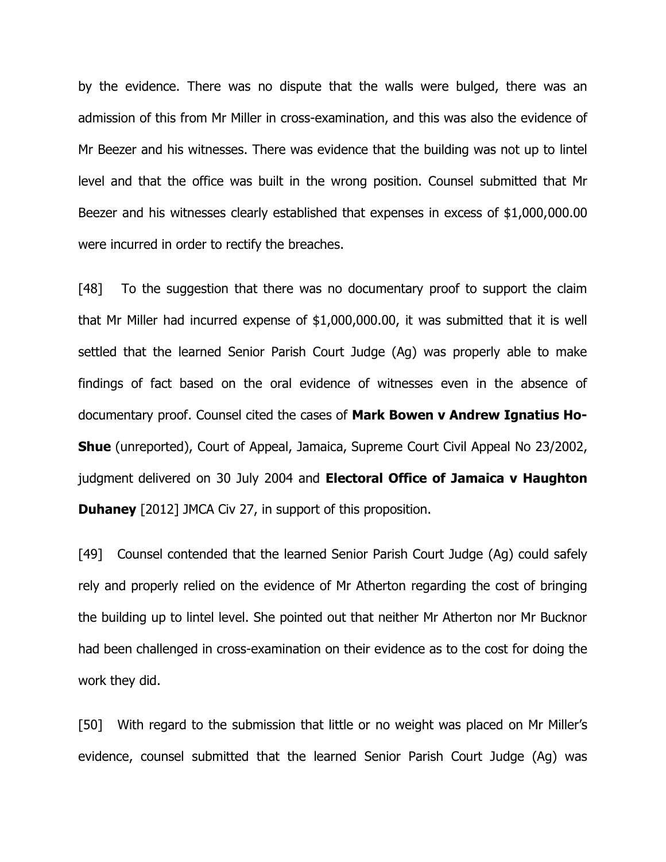by the evidence. There was no dispute that the walls were bulged, there was an admission of this from Mr Miller in cross-examination, and this was also the evidence of Mr Beezer and his witnesses. There was evidence that the building was not up to lintel level and that the office was built in the wrong position. Counsel submitted that Mr Beezer and his witnesses clearly established that expenses in excess of \$1,000,000.00 were incurred in order to rectify the breaches.

[48] To the suggestion that there was no documentary proof to support the claim that Mr Miller had incurred expense of \$1,000,000.00, it was submitted that it is well settled that the learned Senior Parish Court Judge (Ag) was properly able to make findings of fact based on the oral evidence of witnesses even in the absence of documentary proof. Counsel cited the cases of **Mark Bowen v Andrew Ignatius Ho-Shue** (unreported), Court of Appeal, Jamaica, Supreme Court Civil Appeal No 23/2002, judgment delivered on 30 July 2004 and **Electoral Office of Jamaica v Haughton Duhaney** [2012] JMCA Civ 27, in support of this proposition.

[49] Counsel contended that the learned Senior Parish Court Judge (Ag) could safely rely and properly relied on the evidence of Mr Atherton regarding the cost of bringing the building up to lintel level. She pointed out that neither Mr Atherton nor Mr Bucknor had been challenged in cross-examination on their evidence as to the cost for doing the work they did.

[50] With regard to the submission that little or no weight was placed on Mr Miller's evidence, counsel submitted that the learned Senior Parish Court Judge (Ag) was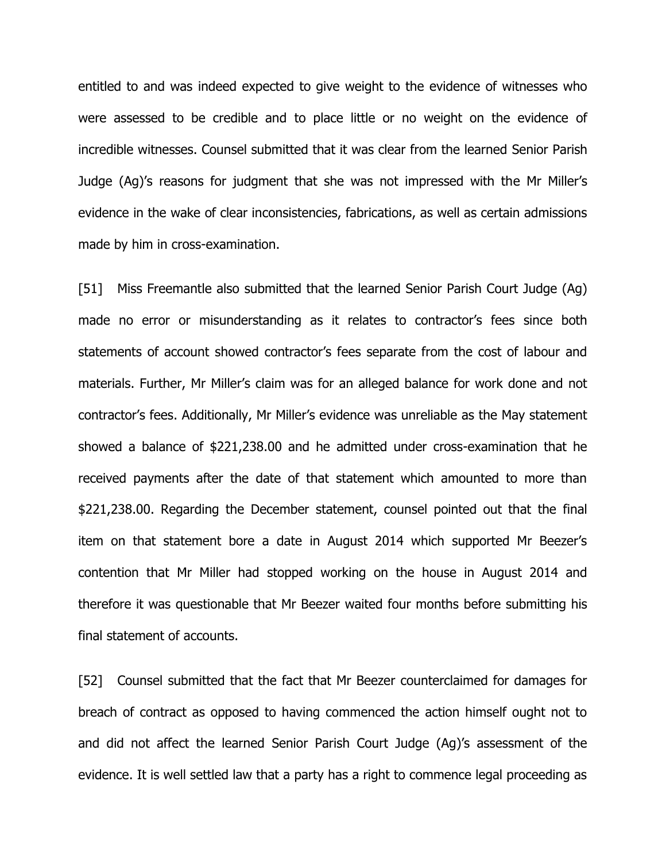entitled to and was indeed expected to give weight to the evidence of witnesses who were assessed to be credible and to place little or no weight on the evidence of incredible witnesses. Counsel submitted that it was clear from the learned Senior Parish Judge (Ag)'s reasons for judgment that she was not impressed with the Mr Miller's evidence in the wake of clear inconsistencies, fabrications, as well as certain admissions made by him in cross-examination.

[51] Miss Freemantle also submitted that the learned Senior Parish Court Judge (Ag) made no error or misunderstanding as it relates to contractor's fees since both statements of account showed contractor's fees separate from the cost of labour and materials. Further, Mr Miller's claim was for an alleged balance for work done and not contractor's fees. Additionally, Mr Miller's evidence was unreliable as the May statement showed a balance of \$221,238.00 and he admitted under cross-examination that he received payments after the date of that statement which amounted to more than \$221,238.00. Regarding the December statement, counsel pointed out that the final item on that statement bore a date in August 2014 which supported Mr Beezer's contention that Mr Miller had stopped working on the house in August 2014 and therefore it was questionable that Mr Beezer waited four months before submitting his final statement of accounts.

[52] Counsel submitted that the fact that Mr Beezer counterclaimed for damages for breach of contract as opposed to having commenced the action himself ought not to and did not affect the learned Senior Parish Court Judge (Ag)'s assessment of the evidence. It is well settled law that a party has a right to commence legal proceeding as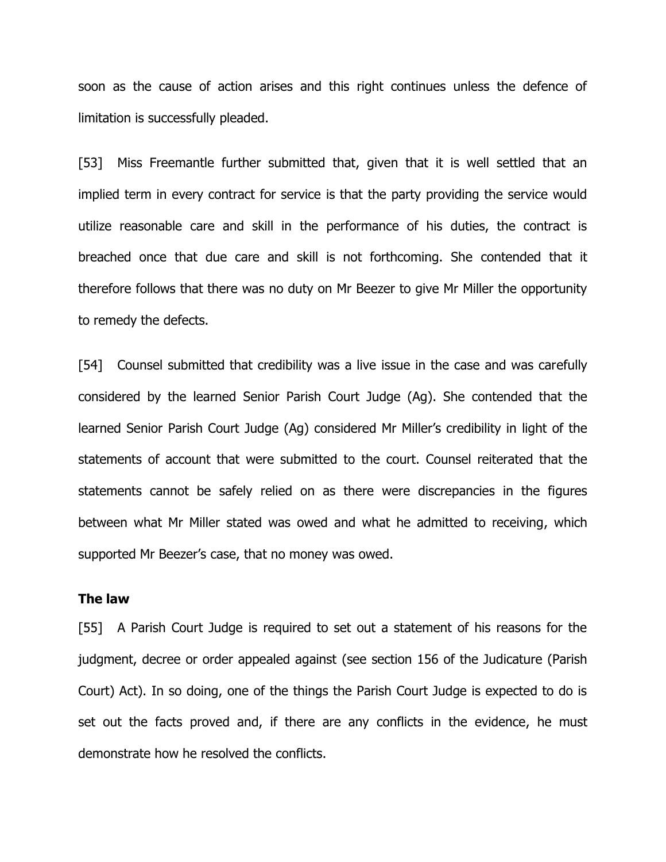soon as the cause of action arises and this right continues unless the defence of limitation is successfully pleaded.

[53] Miss Freemantle further submitted that, given that it is well settled that an implied term in every contract for service is that the party providing the service would utilize reasonable care and skill in the performance of his duties, the contract is breached once that due care and skill is not forthcoming. She contended that it therefore follows that there was no duty on Mr Beezer to give Mr Miller the opportunity to remedy the defects.

[54] Counsel submitted that credibility was a live issue in the case and was carefully considered by the learned Senior Parish Court Judge (Ag). She contended that the learned Senior Parish Court Judge (Ag) considered Mr Miller's credibility in light of the statements of account that were submitted to the court. Counsel reiterated that the statements cannot be safely relied on as there were discrepancies in the figures between what Mr Miller stated was owed and what he admitted to receiving, which supported Mr Beezer's case, that no money was owed.

### **The law**

[55] A Parish Court Judge is required to set out a statement of his reasons for the judgment, decree or order appealed against (see section 156 of the Judicature (Parish Court) Act). In so doing, one of the things the Parish Court Judge is expected to do is set out the facts proved and, if there are any conflicts in the evidence, he must demonstrate how he resolved the conflicts.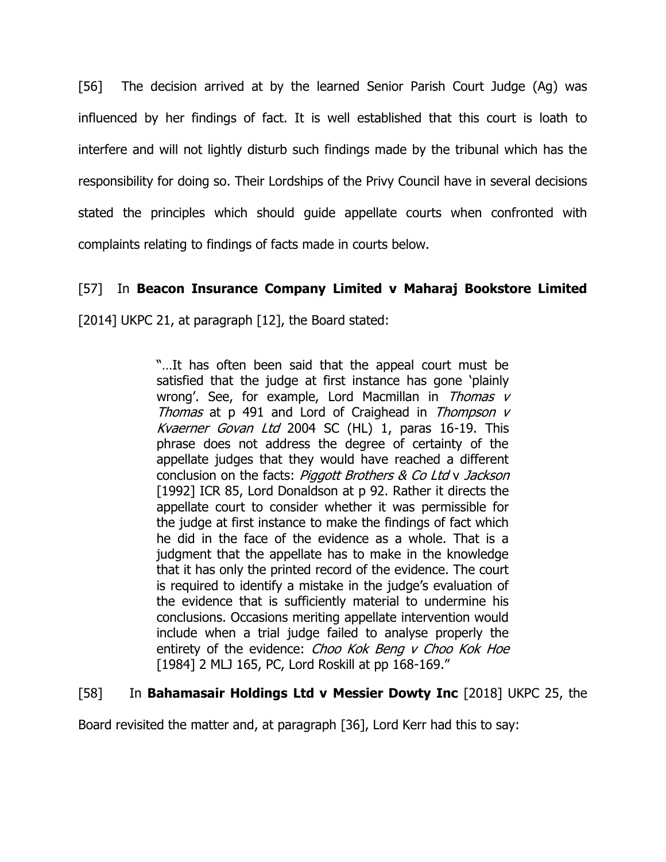[56] The decision arrived at by the learned Senior Parish Court Judge (Ag) was influenced by her findings of fact. It is well established that this court is loath to interfere and will not lightly disturb such findings made by the tribunal which has the responsibility for doing so. Their Lordships of the Privy Council have in several decisions stated the principles which should guide appellate courts when confronted with complaints relating to findings of facts made in courts below.

## [57] In **Beacon Insurance Company Limited v Maharaj Bookstore Limited**

[2014] UKPC 21, at paragraph [12], the Board stated:

"…It has often been said that the appeal court must be satisfied that the judge at first instance has gone 'plainly wrong'. See, for example, Lord Macmillan in Thomas v Thomas at  $p$  491 and Lord of Craighead in Thompson  $v$ Kvaerner Govan Ltd 2004 SC (HL) 1, paras 16-19. This phrase does not address the degree of certainty of the appellate judges that they would have reached a different conclusion on the facts: Piggott Brothers & Co Ltd v Jackson [1992] ICR 85, Lord Donaldson at p 92. Rather it directs the appellate court to consider whether it was permissible for the judge at first instance to make the findings of fact which he did in the face of the evidence as a whole. That is a judgment that the appellate has to make in the knowledge that it has only the printed record of the evidence. The court is required to identify a mistake in the judge's evaluation of the evidence that is sufficiently material to undermine his conclusions. Occasions meriting appellate intervention would include when a trial judge failed to analyse properly the entirety of the evidence: Choo Kok Beng v Choo Kok Hoe [1984] 2 MLJ 165, PC, Lord Roskill at pp 168-169."

## [58] In **Bahamasair Holdings Ltd v Messier Dowty Inc** [2018] UKPC 25, the

Board revisited the matter and, at paragraph [36], Lord Kerr had this to say: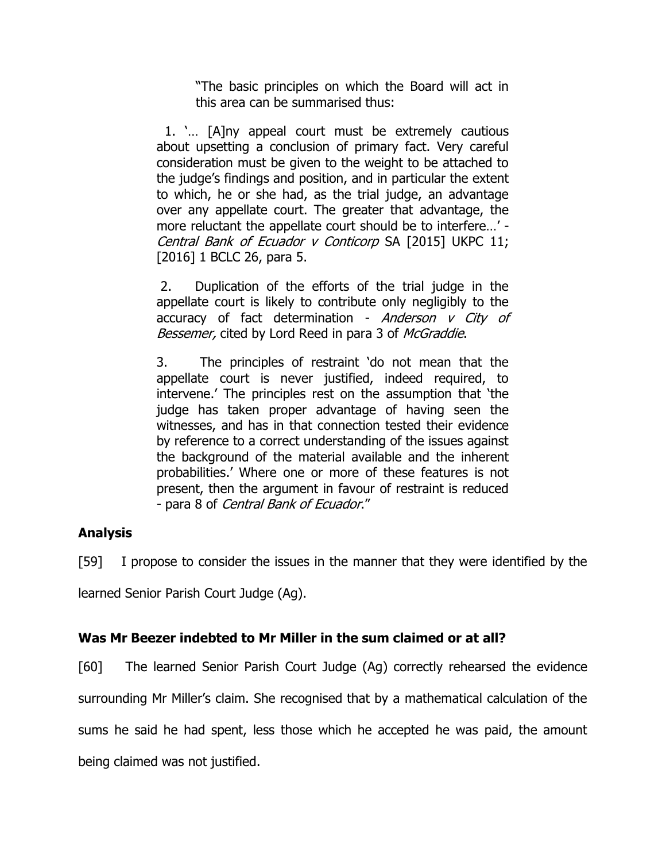"The basic principles on which the Board will act in this area can be summarised thus:

 1. '… [A]ny appeal court must be extremely cautious about upsetting a conclusion of primary fact. Very careful consideration must be given to the weight to be attached to the judge's findings and position, and in particular the extent to which, he or she had, as the trial judge, an advantage over any appellate court. The greater that advantage, the more reluctant the appellate court should be to interfere…' - Central Bank of Ecuador v Conticorp SA [2015] UKPC 11; [2016] 1 BCLC 26, para 5.

2. Duplication of the efforts of the trial judge in the appellate court is likely to contribute only negligibly to the accuracy of fact determination - Anderson v City of Bessemer, cited by Lord Reed in para 3 of McGraddie.

3. The principles of restraint 'do not mean that the appellate court is never justified, indeed required, to intervene.' The principles rest on the assumption that 'the judge has taken proper advantage of having seen the witnesses, and has in that connection tested their evidence by reference to a correct understanding of the issues against the background of the material available and the inherent probabilities.' Where one or more of these features is not present, then the argument in favour of restraint is reduced - para 8 of Central Bank of Ecuador."

## **Analysis**

[59] I propose to consider the issues in the manner that they were identified by the

learned Senior Parish Court Judge (Ag).

# **Was Mr Beezer indebted to Mr Miller in the sum claimed or at all?**

[60] The learned Senior Parish Court Judge (Ag) correctly rehearsed the evidence

surrounding Mr Miller's claim. She recognised that by a mathematical calculation of the

sums he said he had spent, less those which he accepted he was paid, the amount

being claimed was not justified.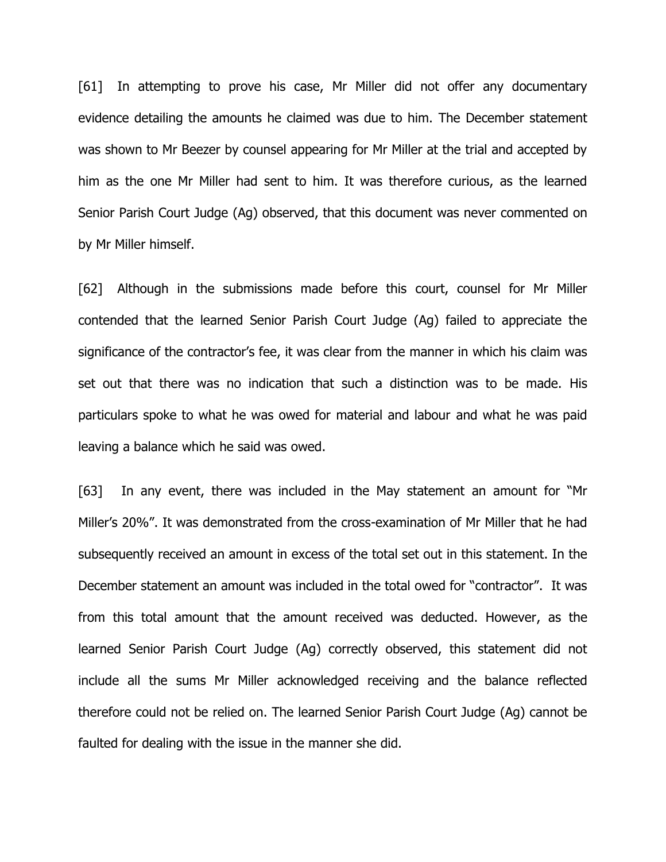[61] In attempting to prove his case, Mr Miller did not offer any documentary evidence detailing the amounts he claimed was due to him. The December statement was shown to Mr Beezer by counsel appearing for Mr Miller at the trial and accepted by him as the one Mr Miller had sent to him. It was therefore curious, as the learned Senior Parish Court Judge (Ag) observed, that this document was never commented on by Mr Miller himself.

[62] Although in the submissions made before this court, counsel for Mr Miller contended that the learned Senior Parish Court Judge (Ag) failed to appreciate the significance of the contractor's fee, it was clear from the manner in which his claim was set out that there was no indication that such a distinction was to be made. His particulars spoke to what he was owed for material and labour and what he was paid leaving a balance which he said was owed.

[63] In any event, there was included in the May statement an amount for "Mr Miller's 20%". It was demonstrated from the cross-examination of Mr Miller that he had subsequently received an amount in excess of the total set out in this statement. In the December statement an amount was included in the total owed for "contractor". It was from this total amount that the amount received was deducted. However, as the learned Senior Parish Court Judge (Ag) correctly observed, this statement did not include all the sums Mr Miller acknowledged receiving and the balance reflected therefore could not be relied on. The learned Senior Parish Court Judge (Ag) cannot be faulted for dealing with the issue in the manner she did.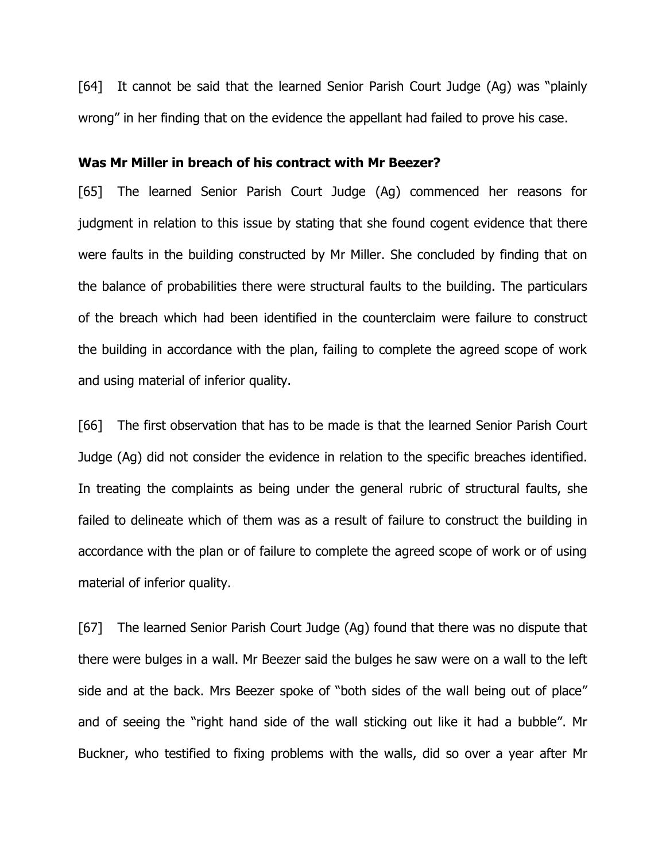[64] It cannot be said that the learned Senior Parish Court Judge (Ag) was "plainly wrong" in her finding that on the evidence the appellant had failed to prove his case.

### **Was Mr Miller in breach of his contract with Mr Beezer?**

[65] The learned Senior Parish Court Judge (Ag) commenced her reasons for judgment in relation to this issue by stating that she found cogent evidence that there were faults in the building constructed by Mr Miller. She concluded by finding that on the balance of probabilities there were structural faults to the building. The particulars of the breach which had been identified in the counterclaim were failure to construct the building in accordance with the plan, failing to complete the agreed scope of work and using material of inferior quality.

[66] The first observation that has to be made is that the learned Senior Parish Court Judge (Ag) did not consider the evidence in relation to the specific breaches identified. In treating the complaints as being under the general rubric of structural faults, she failed to delineate which of them was as a result of failure to construct the building in accordance with the plan or of failure to complete the agreed scope of work or of using material of inferior quality.

[67] The learned Senior Parish Court Judge (Ag) found that there was no dispute that there were bulges in a wall. Mr Beezer said the bulges he saw were on a wall to the left side and at the back. Mrs Beezer spoke of "both sides of the wall being out of place" and of seeing the "right hand side of the wall sticking out like it had a bubble". Mr Buckner, who testified to fixing problems with the walls, did so over a year after Mr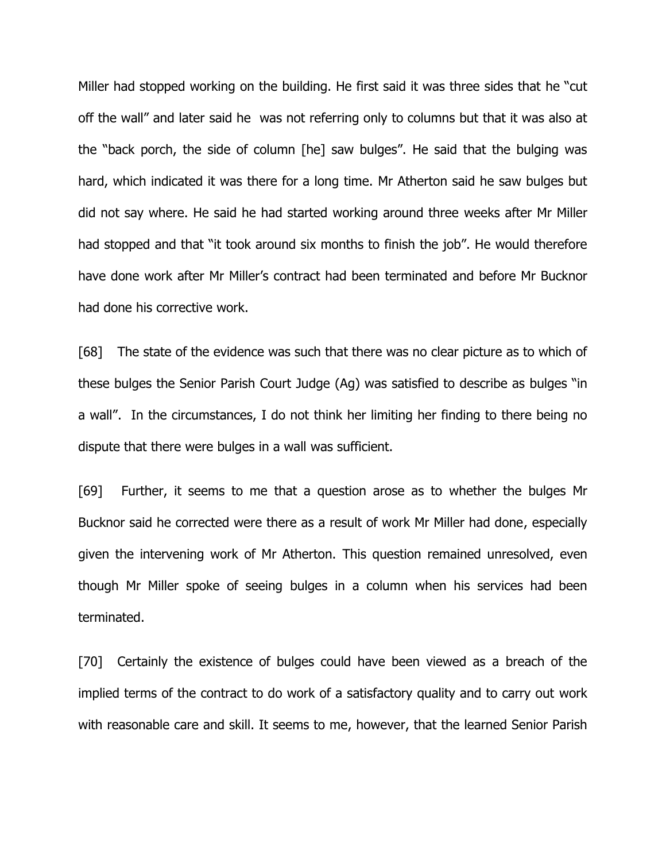Miller had stopped working on the building. He first said it was three sides that he "cut off the wall" and later said he was not referring only to columns but that it was also at the "back porch, the side of column [he] saw bulges". He said that the bulging was hard, which indicated it was there for a long time. Mr Atherton said he saw bulges but did not say where. He said he had started working around three weeks after Mr Miller had stopped and that "it took around six months to finish the job". He would therefore have done work after Mr Miller's contract had been terminated and before Mr Bucknor had done his corrective work.

[68] The state of the evidence was such that there was no clear picture as to which of these bulges the Senior Parish Court Judge (Ag) was satisfied to describe as bulges "in a wall". In the circumstances, I do not think her limiting her finding to there being no dispute that there were bulges in a wall was sufficient.

[69] Further, it seems to me that a question arose as to whether the bulges Mr Bucknor said he corrected were there as a result of work Mr Miller had done, especially given the intervening work of Mr Atherton. This question remained unresolved, even though Mr Miller spoke of seeing bulges in a column when his services had been terminated.

[70] Certainly the existence of bulges could have been viewed as a breach of the implied terms of the contract to do work of a satisfactory quality and to carry out work with reasonable care and skill. It seems to me, however, that the learned Senior Parish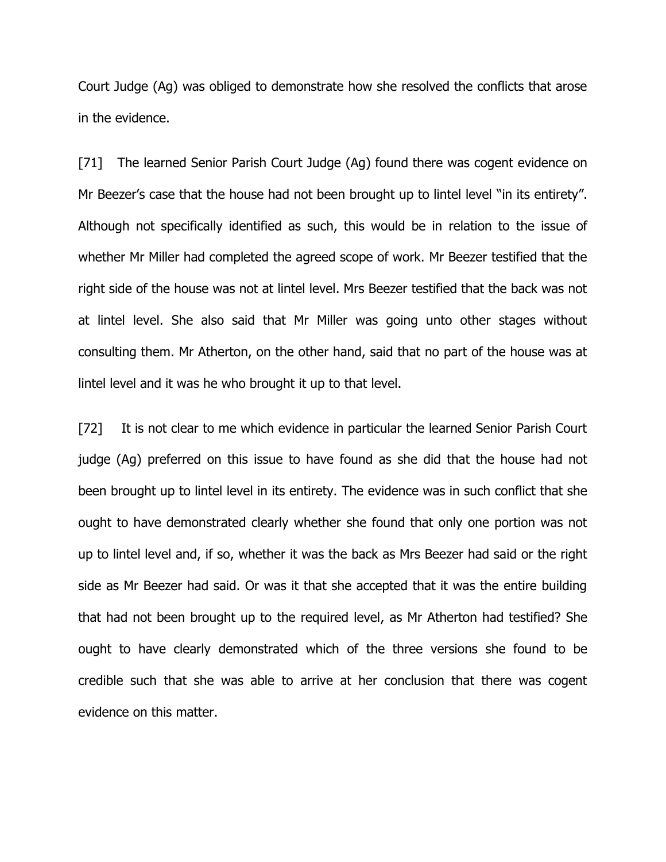Court Judge (Ag) was obliged to demonstrate how she resolved the conflicts that arose in the evidence.

[71] The learned Senior Parish Court Judge (Ag) found there was cogent evidence on Mr Beezer's case that the house had not been brought up to lintel level "in its entirety". Although not specifically identified as such, this would be in relation to the issue of whether Mr Miller had completed the agreed scope of work. Mr Beezer testified that the right side of the house was not at lintel level. Mrs Beezer testified that the back was not at lintel level. She also said that Mr Miller was going unto other stages without consulting them. Mr Atherton, on the other hand, said that no part of the house was at lintel level and it was he who brought it up to that level.

[72] It is not clear to me which evidence in particular the learned Senior Parish Court judge (Ag) preferred on this issue to have found as she did that the house had not been brought up to lintel level in its entirety. The evidence was in such conflict that she ought to have demonstrated clearly whether she found that only one portion was not up to lintel level and, if so, whether it was the back as Mrs Beezer had said or the right side as Mr Beezer had said. Or was it that she accepted that it was the entire building that had not been brought up to the required level, as Mr Atherton had testified? She ought to have clearly demonstrated which of the three versions she found to be credible such that she was able to arrive at her conclusion that there was cogent evidence on this matter.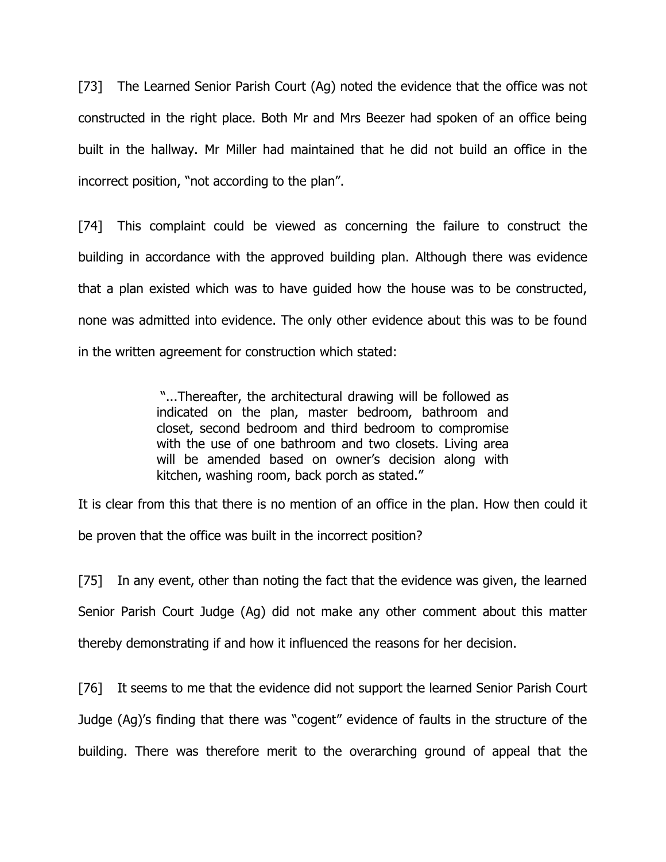[73] The Learned Senior Parish Court (Ag) noted the evidence that the office was not constructed in the right place. Both Mr and Mrs Beezer had spoken of an office being built in the hallway. Mr Miller had maintained that he did not build an office in the incorrect position, "not according to the plan".

[74] This complaint could be viewed as concerning the failure to construct the building in accordance with the approved building plan. Although there was evidence that a plan existed which was to have guided how the house was to be constructed, none was admitted into evidence. The only other evidence about this was to be found in the written agreement for construction which stated:

> "...Thereafter, the architectural drawing will be followed as indicated on the plan, master bedroom, bathroom and closet, second bedroom and third bedroom to compromise with the use of one bathroom and two closets. Living area will be amended based on owner's decision along with kitchen, washing room, back porch as stated."

It is clear from this that there is no mention of an office in the plan. How then could it be proven that the office was built in the incorrect position?

[75] In any event, other than noting the fact that the evidence was given, the learned Senior Parish Court Judge (Ag) did not make any other comment about this matter thereby demonstrating if and how it influenced the reasons for her decision.

[76] It seems to me that the evidence did not support the learned Senior Parish Court Judge (Ag)'s finding that there was "cogent" evidence of faults in the structure of the building. There was therefore merit to the overarching ground of appeal that the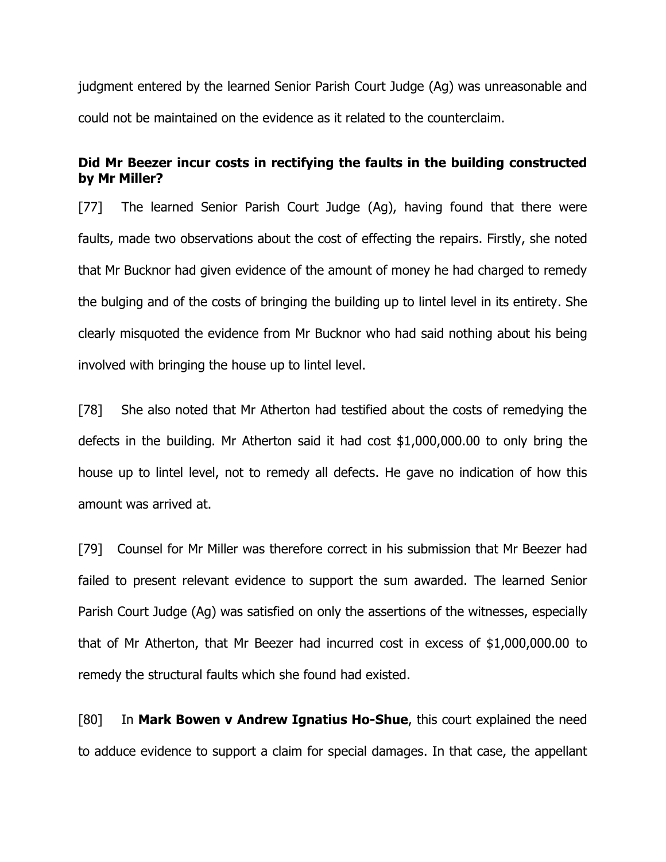judgment entered by the learned Senior Parish Court Judge (Ag) was unreasonable and could not be maintained on the evidence as it related to the counterclaim.

## **Did Mr Beezer incur costs in rectifying the faults in the building constructed by Mr Miller?**

[77] The learned Senior Parish Court Judge (Ag), having found that there were faults, made two observations about the cost of effecting the repairs. Firstly, she noted that Mr Bucknor had given evidence of the amount of money he had charged to remedy the bulging and of the costs of bringing the building up to lintel level in its entirety. She clearly misquoted the evidence from Mr Bucknor who had said nothing about his being involved with bringing the house up to lintel level.

[78] She also noted that Mr Atherton had testified about the costs of remedying the defects in the building. Mr Atherton said it had cost \$1,000,000.00 to only bring the house up to lintel level, not to remedy all defects. He gave no indication of how this amount was arrived at.

[79] Counsel for Mr Miller was therefore correct in his submission that Mr Beezer had failed to present relevant evidence to support the sum awarded. The learned Senior Parish Court Judge (Ag) was satisfied on only the assertions of the witnesses, especially that of Mr Atherton, that Mr Beezer had incurred cost in excess of \$1,000,000.00 to remedy the structural faults which she found had existed.

[80] In **Mark Bowen v Andrew Ignatius Ho-Shue**, this court explained the need to adduce evidence to support a claim for special damages. In that case, the appellant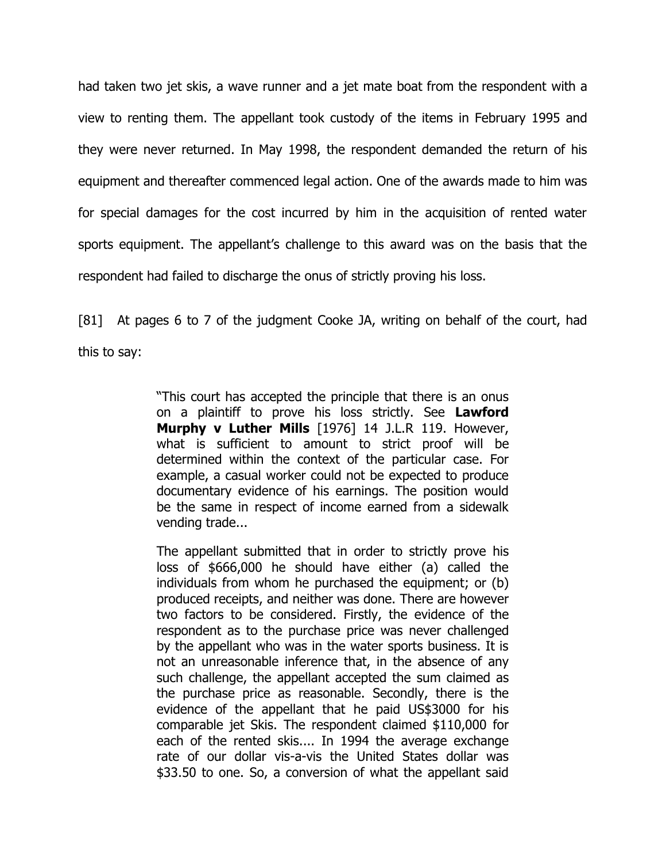had taken two jet skis, a wave runner and a jet mate boat from the respondent with a view to renting them. The appellant took custody of the items in February 1995 and they were never returned. In May 1998, the respondent demanded the return of his equipment and thereafter commenced legal action. One of the awards made to him was for special damages for the cost incurred by him in the acquisition of rented water sports equipment. The appellant's challenge to this award was on the basis that the respondent had failed to discharge the onus of strictly proving his loss.

[81] At pages 6 to 7 of the judgment Cooke JA, writing on behalf of the court, had this to say:

> "This court has accepted the principle that there is an onus on a plaintiff to prove his loss strictly. See **Lawford Murphy v Luther Mills** [1976] 14 J.L.R 119. However, what is sufficient to amount to strict proof will be determined within the context of the particular case. For example, a casual worker could not be expected to produce documentary evidence of his earnings. The position would be the same in respect of income earned from a sidewalk vending trade...

> The appellant submitted that in order to strictly prove his loss of \$666,000 he should have either (a) called the individuals from whom he purchased the equipment; or (b) produced receipts, and neither was done. There are however two factors to be considered. Firstly, the evidence of the respondent as to the purchase price was never challenged by the appellant who was in the water sports business. It is not an unreasonable inference that, in the absence of any such challenge, the appellant accepted the sum claimed as the purchase price as reasonable. Secondly, there is the evidence of the appellant that he paid US\$3000 for his comparable jet Skis. The respondent claimed \$110,000 for each of the rented skis.... In 1994 the average exchange rate of our dollar vis-a-vis the United States dollar was \$33.50 to one. So, a conversion of what the appellant said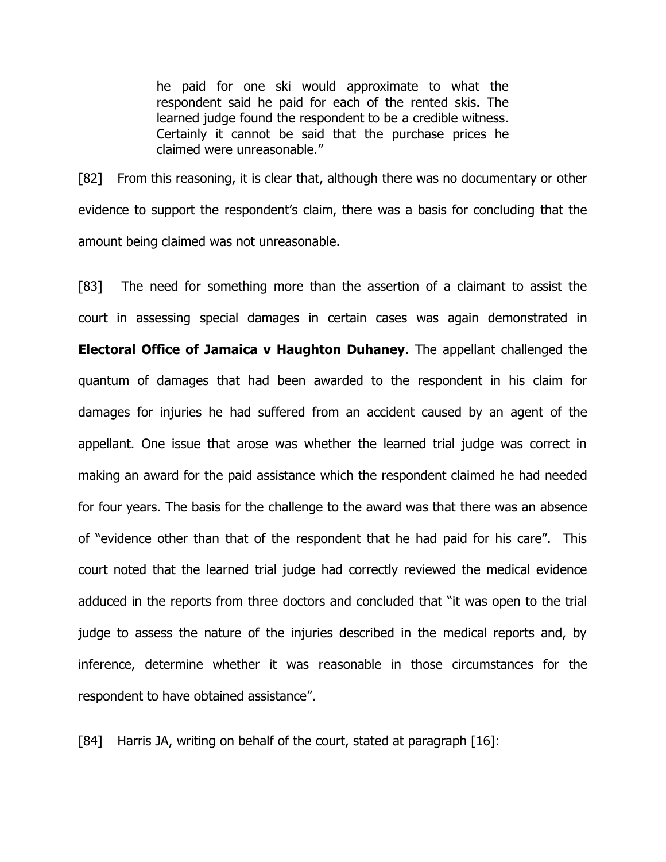he paid for one ski would approximate to what the respondent said he paid for each of the rented skis. The learned judge found the respondent to be a credible witness. Certainly it cannot be said that the purchase prices he claimed were unreasonable."

[82] From this reasoning, it is clear that, although there was no documentary or other evidence to support the respondent's claim, there was a basis for concluding that the amount being claimed was not unreasonable.

[83] The need for something more than the assertion of a claimant to assist the court in assessing special damages in certain cases was again demonstrated in **Electoral Office of Jamaica v Haughton Duhaney**. The appellant challenged the quantum of damages that had been awarded to the respondent in his claim for damages for injuries he had suffered from an accident caused by an agent of the appellant. One issue that arose was whether the learned trial judge was correct in making an award for the paid assistance which the respondent claimed he had needed for four years. The basis for the challenge to the award was that there was an absence of "evidence other than that of the respondent that he had paid for his care". This court noted that the learned trial judge had correctly reviewed the medical evidence adduced in the reports from three doctors and concluded that "it was open to the trial judge to assess the nature of the injuries described in the medical reports and, by inference, determine whether it was reasonable in those circumstances for the respondent to have obtained assistance".

[84] Harris JA, writing on behalf of the court, stated at paragraph [16]: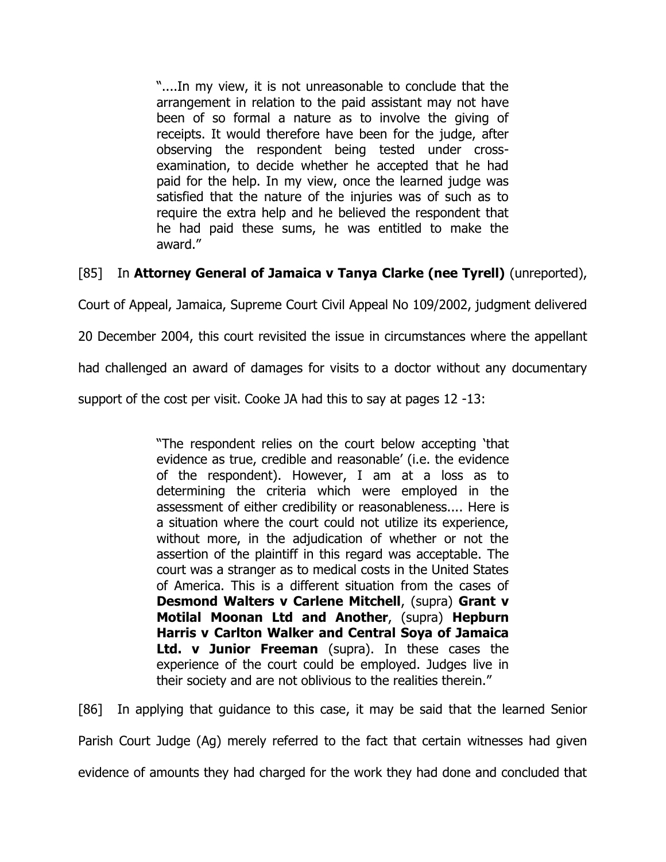"....In my view, it is not unreasonable to conclude that the arrangement in relation to the paid assistant may not have been of so formal a nature as to involve the giving of receipts. It would therefore have been for the judge, after observing the respondent being tested under crossexamination, to decide whether he accepted that he had paid for the help. In my view, once the learned judge was satisfied that the nature of the injuries was of such as to require the extra help and he believed the respondent that he had paid these sums, he was entitled to make the award."

[85] In **Attorney General of Jamaica v Tanya Clarke (nee Tyrell)** (unreported),

Court of Appeal, Jamaica, Supreme Court Civil Appeal No 109/2002, judgment delivered

20 December 2004, this court revisited the issue in circumstances where the appellant

had challenged an award of damages for visits to a doctor without any documentary

support of the cost per visit. Cooke JA had this to say at pages 12 -13:

"The respondent relies on the court below accepting 'that evidence as true, credible and reasonable' (i.e. the evidence of the respondent). However, I am at a loss as to determining the criteria which were employed in the assessment of either credibility or reasonableness.... Here is a situation where the court could not utilize its experience, without more, in the adjudication of whether or not the assertion of the plaintiff in this regard was acceptable. The court was a stranger as to medical costs in the United States of America. This is a different situation from the cases of **Desmond Walters v Carlene Mitchell**, (supra) **Grant v Motilal Moonan Ltd and Another**, (supra) **Hepburn Harris v Carlton Walker and Central Soya of Jamaica Ltd. v Junior Freeman** (supra). In these cases the experience of the court could be employed. Judges live in their society and are not oblivious to the realities therein."

[86] In applying that guidance to this case, it may be said that the learned Senior Parish Court Judge (Ag) merely referred to the fact that certain witnesses had given evidence of amounts they had charged for the work they had done and concluded that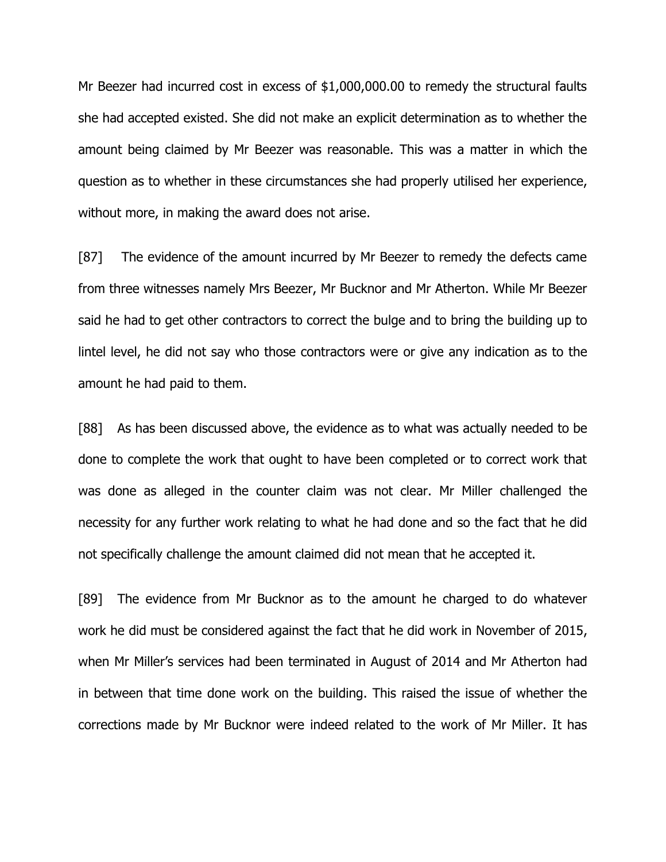Mr Beezer had incurred cost in excess of \$1,000,000.00 to remedy the structural faults she had accepted existed. She did not make an explicit determination as to whether the amount being claimed by Mr Beezer was reasonable. This was a matter in which the question as to whether in these circumstances she had properly utilised her experience, without more, in making the award does not arise.

[87] The evidence of the amount incurred by Mr Beezer to remedy the defects came from three witnesses namely Mrs Beezer, Mr Bucknor and Mr Atherton. While Mr Beezer said he had to get other contractors to correct the bulge and to bring the building up to lintel level, he did not say who those contractors were or give any indication as to the amount he had paid to them.

[88] As has been discussed above, the evidence as to what was actually needed to be done to complete the work that ought to have been completed or to correct work that was done as alleged in the counter claim was not clear. Mr Miller challenged the necessity for any further work relating to what he had done and so the fact that he did not specifically challenge the amount claimed did not mean that he accepted it.

[89] The evidence from Mr Bucknor as to the amount he charged to do whatever work he did must be considered against the fact that he did work in November of 2015, when Mr Miller's services had been terminated in August of 2014 and Mr Atherton had in between that time done work on the building. This raised the issue of whether the corrections made by Mr Bucknor were indeed related to the work of Mr Miller. It has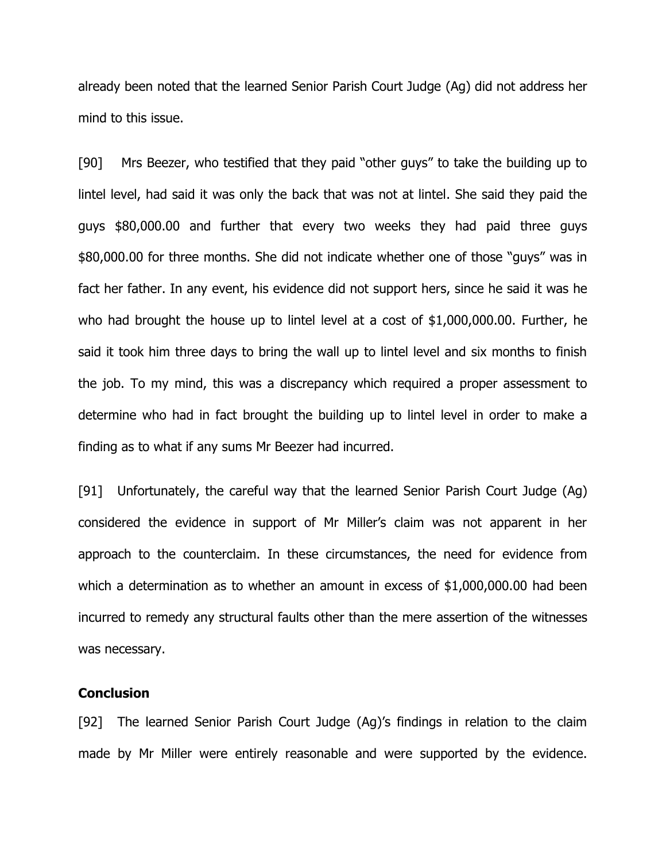already been noted that the learned Senior Parish Court Judge (Ag) did not address her mind to this issue.

[90] Mrs Beezer, who testified that they paid "other guys" to take the building up to lintel level, had said it was only the back that was not at lintel. She said they paid the guys \$80,000.00 and further that every two weeks they had paid three guys \$80,000.00 for three months. She did not indicate whether one of those "guys" was in fact her father. In any event, his evidence did not support hers, since he said it was he who had brought the house up to lintel level at a cost of \$1,000,000.00. Further, he said it took him three days to bring the wall up to lintel level and six months to finish the job. To my mind, this was a discrepancy which required a proper assessment to determine who had in fact brought the building up to lintel level in order to make a finding as to what if any sums Mr Beezer had incurred.

[91] Unfortunately, the careful way that the learned Senior Parish Court Judge (Ag) considered the evidence in support of Mr Miller's claim was not apparent in her approach to the counterclaim. In these circumstances, the need for evidence from which a determination as to whether an amount in excess of \$1,000,000.00 had been incurred to remedy any structural faults other than the mere assertion of the witnesses was necessary.

### **Conclusion**

[92] The learned Senior Parish Court Judge (Ag)'s findings in relation to the claim made by Mr Miller were entirely reasonable and were supported by the evidence.